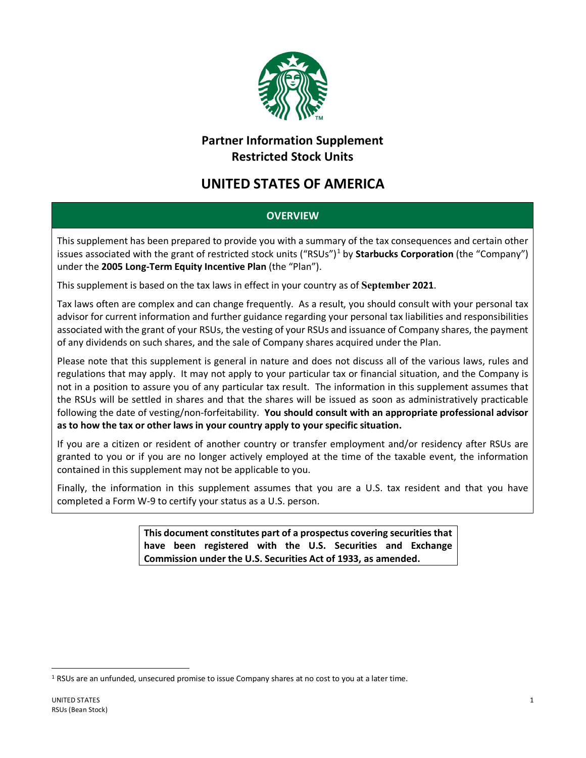

## **Partner Information Supplement Restricted Stock Units**

## **UNITED STATES OF AMERICA**

## **OVERVIEW**

This supplement has been prepared to provide you with a summary of the tax consequences and certain other issues associated with the grant of restricted stock units ("RSUs") [1](#page-0-0) by **Starbucks Corporation** (the "Company") under the **2005 Long-Term Equity Incentive Plan** (the "Plan").

This supplement is based on the tax laws in effect in your country as of **September 2021**.

Tax laws often are complex and can change frequently. As a result, you should consult with your personal tax advisor for current information and further guidance regarding your personal tax liabilities and responsibilities associated with the grant of your RSUs, the vesting of your RSUs and issuance of Company shares, the payment of any dividends on such shares, and the sale of Company shares acquired under the Plan.

Please note that this supplement is general in nature and does not discuss all of the various laws, rules and regulations that may apply. It may not apply to your particular tax or financial situation, and the Company is not in a position to assure you of any particular tax result. The information in this supplement assumes that the RSUs will be settled in shares and that the shares will be issued as soon as administratively practicable following the date of vesting/non-forfeitability. **You should consult with an appropriate professional advisor as to how the tax or other laws in your country apply to your specific situation.**

If you are a citizen or resident of another country or transfer employment and/or residency after RSUs are granted to you or if you are no longer actively employed at the time of the taxable event, the information contained in this supplement may not be applicable to you.

Finally, the information in this supplement assumes that you are a U.S. tax resident and that you have completed a Form W-9 to certify your status as a U.S. person.

> **This document constitutes part of a prospectus covering securities that have been registered with the U.S. Securities and Exchange Commission under the U.S. Securities Act of 1933, as amended.**

<span id="page-0-0"></span><sup>1</sup> RSUs are an unfunded, unsecured promise to issue Company shares at no cost to you at a later time.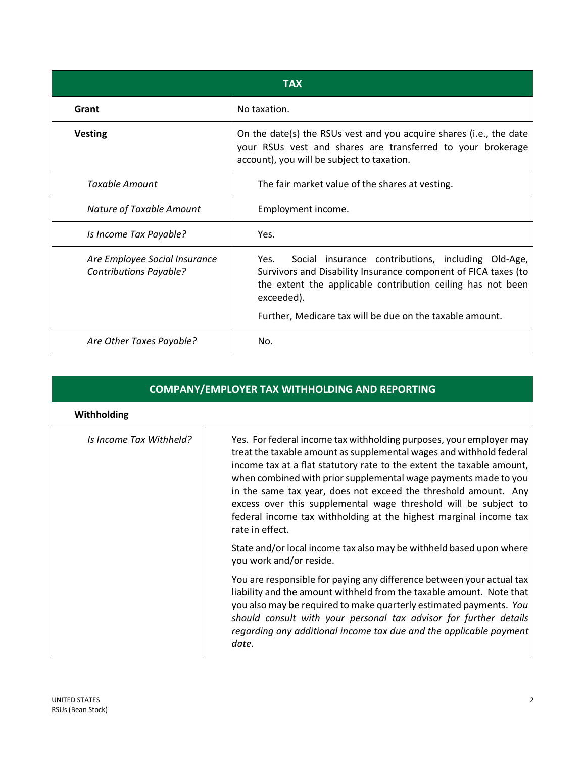| TAX                                                            |                                                                                                                                                                                                                                                                       |
|----------------------------------------------------------------|-----------------------------------------------------------------------------------------------------------------------------------------------------------------------------------------------------------------------------------------------------------------------|
| Grant                                                          | No taxation.                                                                                                                                                                                                                                                          |
| <b>Vesting</b>                                                 | On the date(s) the RSUs vest and you acquire shares (i.e., the date<br>your RSUs vest and shares are transferred to your brokerage<br>account), you will be subject to taxation.                                                                                      |
| <b>Taxable Amount</b>                                          | The fair market value of the shares at vesting.                                                                                                                                                                                                                       |
| Nature of Taxable Amount                                       | Employment income.                                                                                                                                                                                                                                                    |
| Is Income Tax Payable?                                         | Yes.                                                                                                                                                                                                                                                                  |
| Are Employee Social Insurance<br><b>Contributions Payable?</b> | Social insurance contributions, including Old-Age,<br>Yes.<br>Survivors and Disability Insurance component of FICA taxes (to<br>the extent the applicable contribution ceiling has not been<br>exceeded).<br>Further, Medicare tax will be due on the taxable amount. |
| Are Other Taxes Payable?                                       | No.                                                                                                                                                                                                                                                                   |

| <b>COMPANY/EMPLOYER TAX WITHHOLDING AND REPORTING</b> |                                                                                                                                                                                                                                                                                                                                                                                                                                                                                                                      |
|-------------------------------------------------------|----------------------------------------------------------------------------------------------------------------------------------------------------------------------------------------------------------------------------------------------------------------------------------------------------------------------------------------------------------------------------------------------------------------------------------------------------------------------------------------------------------------------|
| <b>Withholding</b>                                    |                                                                                                                                                                                                                                                                                                                                                                                                                                                                                                                      |
| Is Income Tax Withheld?                               | Yes. For federal income tax withholding purposes, your employer may<br>treat the taxable amount as supplemental wages and withhold federal<br>income tax at a flat statutory rate to the extent the taxable amount,<br>when combined with prior supplemental wage payments made to you<br>in the same tax year, does not exceed the threshold amount. Any<br>excess over this supplemental wage threshold will be subject to<br>federal income tax withholding at the highest marginal income tax<br>rate in effect. |
|                                                       | State and/or local income tax also may be withheld based upon where<br>you work and/or reside.                                                                                                                                                                                                                                                                                                                                                                                                                       |
|                                                       | You are responsible for paying any difference between your actual tax<br>liability and the amount withheld from the taxable amount. Note that<br>you also may be required to make quarterly estimated payments. You<br>should consult with your personal tax advisor for further details<br>regarding any additional income tax due and the applicable payment<br>date.                                                                                                                                              |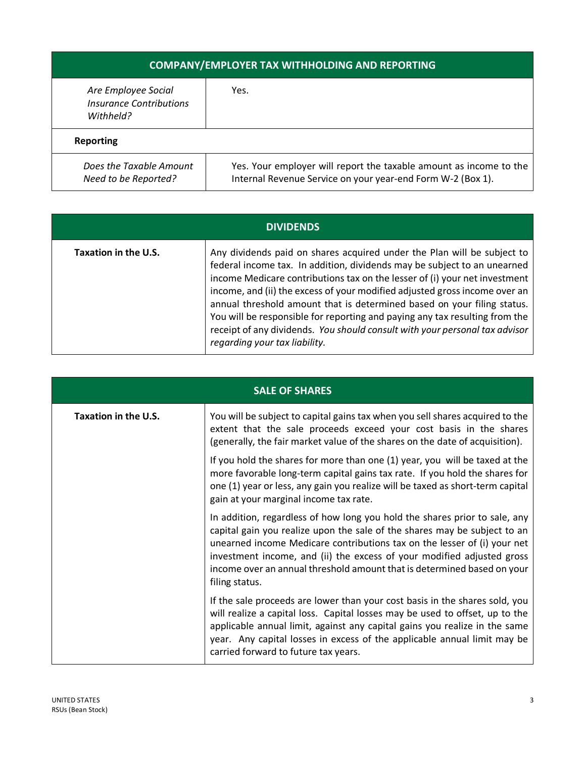| <b>COMPANY/EMPLOYER TAX WITHHOLDING AND REPORTING</b>              |                                                                                                                                   |
|--------------------------------------------------------------------|-----------------------------------------------------------------------------------------------------------------------------------|
| Are Employee Social<br><b>Insurance Contributions</b><br>Withheld? | Yes.                                                                                                                              |
| <b>Reporting</b>                                                   |                                                                                                                                   |
| Does the Taxable Amount<br>Need to be Reported?                    | Yes. Your employer will report the taxable amount as income to the<br>Internal Revenue Service on your year-end Form W-2 (Box 1). |

| <b>DIVIDENDS</b>     |                                                                                                                                                                                                                                                                                                                                                                                                                                                                                                                                                                                           |
|----------------------|-------------------------------------------------------------------------------------------------------------------------------------------------------------------------------------------------------------------------------------------------------------------------------------------------------------------------------------------------------------------------------------------------------------------------------------------------------------------------------------------------------------------------------------------------------------------------------------------|
| Taxation in the U.S. | Any dividends paid on shares acquired under the Plan will be subject to<br>federal income tax. In addition, dividends may be subject to an unearned<br>income Medicare contributions tax on the lesser of (i) your net investment<br>income, and (ii) the excess of your modified adjusted gross income over an<br>annual threshold amount that is determined based on your filing status.<br>You will be responsible for reporting and paying any tax resulting from the<br>receipt of any dividends. You should consult with your personal tax advisor<br>regarding your tax liability. |

| <b>SALE OF SHARES</b> |                                                                                                                                                                                                                                                                                                                                                                                                            |
|-----------------------|------------------------------------------------------------------------------------------------------------------------------------------------------------------------------------------------------------------------------------------------------------------------------------------------------------------------------------------------------------------------------------------------------------|
| Taxation in the U.S.  | You will be subject to capital gains tax when you sell shares acquired to the<br>extent that the sale proceeds exceed your cost basis in the shares<br>(generally, the fair market value of the shares on the date of acquisition).                                                                                                                                                                        |
|                       | If you hold the shares for more than one (1) year, you will be taxed at the<br>more favorable long-term capital gains tax rate. If you hold the shares for<br>one (1) year or less, any gain you realize will be taxed as short-term capital<br>gain at your marginal income tax rate.                                                                                                                     |
|                       | In addition, regardless of how long you hold the shares prior to sale, any<br>capital gain you realize upon the sale of the shares may be subject to an<br>unearned income Medicare contributions tax on the lesser of (i) your net<br>investment income, and (ii) the excess of your modified adjusted gross<br>income over an annual threshold amount that is determined based on your<br>filing status. |
|                       | If the sale proceeds are lower than your cost basis in the shares sold, you<br>will realize a capital loss. Capital losses may be used to offset, up to the<br>applicable annual limit, against any capital gains you realize in the same<br>year. Any capital losses in excess of the applicable annual limit may be<br>carried forward to future tax years.                                              |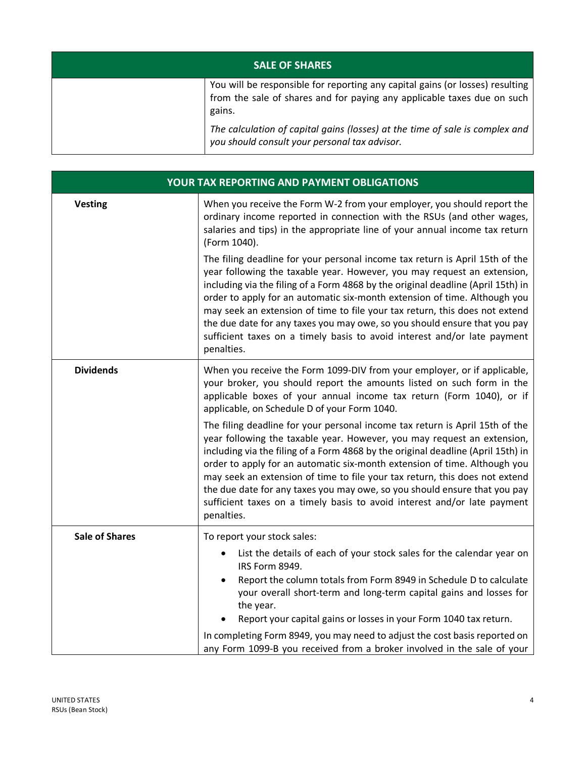| <b>SALE OF SHARES</b> |                                                                                                                                                                    |
|-----------------------|--------------------------------------------------------------------------------------------------------------------------------------------------------------------|
|                       | You will be responsible for reporting any capital gains (or losses) resulting<br>from the sale of shares and for paying any applicable taxes due on such<br>gains. |
|                       | The calculation of capital gains (losses) at the time of sale is complex and<br>you should consult your personal tax advisor.                                      |

| YOUR TAX REPORTING AND PAYMENT OBLIGATIONS |                                                                                                                                                                                                                                                                                                                                                                                                                                                                                                                                                                                |
|--------------------------------------------|--------------------------------------------------------------------------------------------------------------------------------------------------------------------------------------------------------------------------------------------------------------------------------------------------------------------------------------------------------------------------------------------------------------------------------------------------------------------------------------------------------------------------------------------------------------------------------|
| <b>Vesting</b>                             | When you receive the Form W-2 from your employer, you should report the<br>ordinary income reported in connection with the RSUs (and other wages,<br>salaries and tips) in the appropriate line of your annual income tax return<br>(Form 1040).                                                                                                                                                                                                                                                                                                                               |
|                                            | The filing deadline for your personal income tax return is April 15th of the<br>year following the taxable year. However, you may request an extension,<br>including via the filing of a Form 4868 by the original deadline (April 15th) in<br>order to apply for an automatic six-month extension of time. Although you<br>may seek an extension of time to file your tax return, this does not extend<br>the due date for any taxes you may owe, so you should ensure that you pay<br>sufficient taxes on a timely basis to avoid interest and/or late payment<br>penalties. |
| <b>Dividends</b>                           | When you receive the Form 1099-DIV from your employer, or if applicable,<br>your broker, you should report the amounts listed on such form in the<br>applicable boxes of your annual income tax return (Form 1040), or if<br>applicable, on Schedule D of your Form 1040.                                                                                                                                                                                                                                                                                                      |
|                                            | The filing deadline for your personal income tax return is April 15th of the<br>year following the taxable year. However, you may request an extension,<br>including via the filing of a Form 4868 by the original deadline (April 15th) in<br>order to apply for an automatic six-month extension of time. Although you<br>may seek an extension of time to file your tax return, this does not extend<br>the due date for any taxes you may owe, so you should ensure that you pay<br>sufficient taxes on a timely basis to avoid interest and/or late payment<br>penalties. |
| <b>Sale of Shares</b>                      | To report your stock sales:                                                                                                                                                                                                                                                                                                                                                                                                                                                                                                                                                    |
|                                            | List the details of each of your stock sales for the calendar year on<br>IRS Form 8949.<br>Report the column totals from Form 8949 in Schedule D to calculate<br>your overall short-term and long-term capital gains and losses for<br>the year.<br>Report your capital gains or losses in your Form 1040 tax return.<br>In completing Form 8949, you may need to adjust the cost basis reported on<br>any Form 1099-B you received from a broker involved in the sale of your                                                                                                 |